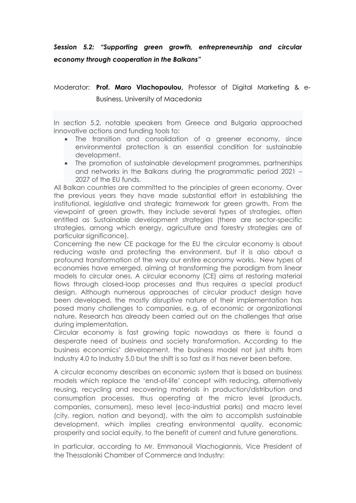## *Session 5.2: "Supporting green growth, entrepreneurship and circular economy through cooperation in the Balkans"*

## Moderator: **Prof. Maro Vlachopoulou,** Professor of Digital Marketing & e-

Business, University of Macedonia

In section 5.2, notable speakers from Greece and Bulgaria approached innovative actions and funding tools to:

- The transition and consolidation of a greener economy, since environmental protection is an essential condition for sustainable development.
- The promotion of sustainable development programmes, partnerships and networks in the Balkans during the programmatic period 2021 – 2027 of the EU funds.

All Balkan countries are committed to the principles of green economy. Over the previous years they have made substantial effort in establishing the institutional, legislative and strategic framework for green growth. From the viewpoint of green growth, they include several types of strategies, often entitled as Sustainable development strategies (there are sector-specific strategies, among which energy, agriculture and forestry strategies are of particular significance).

Concerning the new CE package for the EU the circular economy is about reducing waste and protecting the environment, but it is also about a profound transformation of the way our entire economy works. New types of economies have emerged, aiming at transforming the paradigm from linear models to circular ones. A circular economy (CE) aims at restoring material flows through closed-loop processes and thus requires a special product design. Although numerous approaches of circular product design have been developed, the mostly disruptive nature of their implementation has posed many challenges to companies, e.g. of economic or organizational nature. Research has already been carried out on the challenges that arise during implementation.

Circular economy is fast growing topic nowadays as there is found a desperate need of business and society transformation. According to the business economics' development, the business model not just shifts from Industry 4.0 to Industry 5.0 but the shift is so fast as it has never been before.

A circular economy describes an economic system that is based on business models which replace the 'end-of-life' concept with reducing, alternatively reusing, recycling and recovering materials in production/distribution and consumption processes, thus operating at the micro level (products, companies, consumers), meso level (eco-industrial parks) and macro level (city, region, nation and beyond), with the aim to accomplish sustainable development, which implies creating environmental quality, economic prosperity and social equity, to the benefit of current and future generations.

In particular, according to Mr. Emmanouil Vlachogiannis, Vice President of the Thessaloniki Chamber of Commerce and Industry: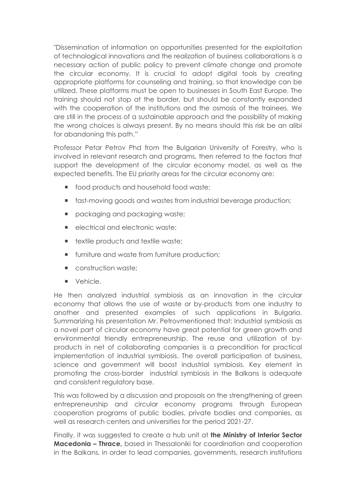"Dissemination of information on opportunities presented for the exploitation of technological innovations and the realization of business collaborations is a necessary action of public policy to prevent climate change and promote the circular economy. It is crucial to adopt digital tools by creating appropriate platforms for counseling and training, so that knowledge can be utilized. These platforms must be open to businesses in South East Europe. The training should not stop at the border, but should be constantly expanded with the cooperation of the institutions and the osmosis of the trainees. We are still in the process of a sustainable approach and the possibility of making the wrong choices is always present. By no means should this risk be an alibi for abandoning this path."

Professor Petar Petrov Phd from the Bulgarian University of Forestry, who is involved in relevant research and programs, then referred to the factors that support the development of the circular economy model, as well as the expected benefits. The EU priority areas for the circular economy are:

- **food products and household food waste:**
- **fast-moving goods and wastes from industrial beverage production;**
- packaging and packaging waste;
- electrical and electronic waste:
- $\blacksquare$  textile products and textile waste;
- **furniture and waste from furniture production;**
- **Construction waste:**
- **vehicle.**

He then analyzed industrial symbiosis as an innovation in the circular economy that allows the use of waste or by-products from one industry to another and presented examples of such applications in Bulgaria. Summarizing his presentation Mr. Petrovmentioned that: Industrial symbiosis as a novel part of circular economy have great potential for green growth and environmental friendly entrepreneurship. The reuse and utilization of byproducts in net of collaborating companies is a precondition for practical implementation of industrial symbiosis. The overall participation of business, science and government will boost industrial symbiosis. Key element in promoting the cross-border industrial symbiosis in the Balkans is adequate and consistent regulatory base.

This was followed by a discussion and proposals on the strengthening of green entrepreneurship and circular economy programs through European cooperation programs of public bodies, private bodies and companies, as well as research centers and universities for the period 2021-27.

Finally, it was suggested to create a hub unit at **the Ministry of Interior Sector Macedonia – Thrace,** based in Thessaloniki for coordination and cooperation in the Balkans, in order to lead companies, governments, research institutions